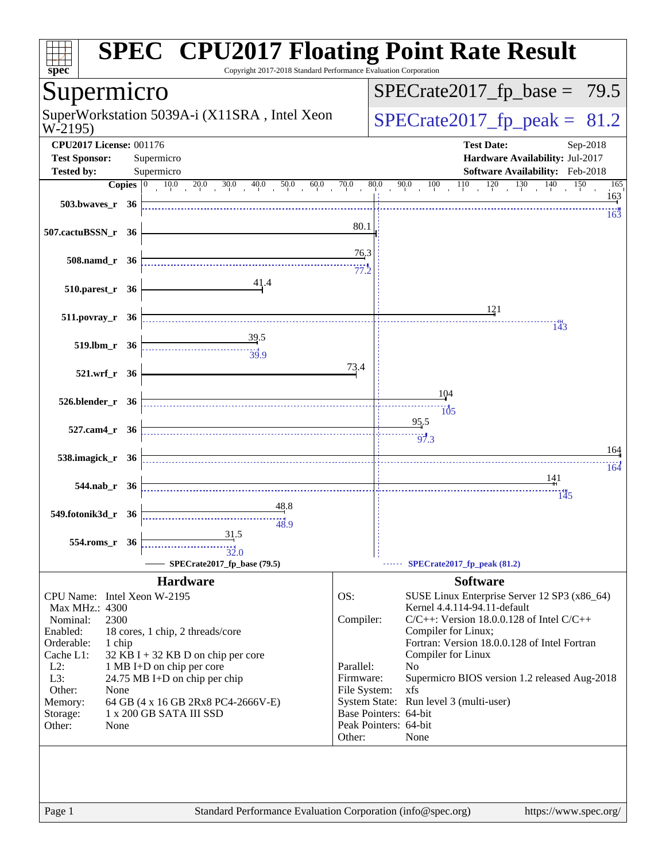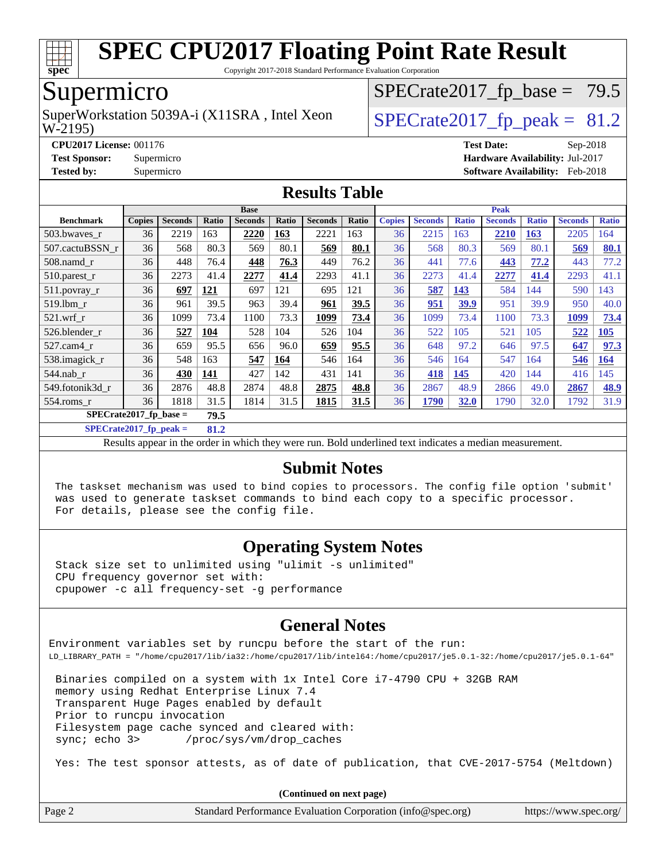

Copyright 2017-2018 Standard Performance Evaluation Corporation

# Supermicro

W-2195) SuperWorkstation 5039A-i (X11SRA, Intel Xeon  $\big|$  [SPECrate2017\\_fp\\_peak =](http://www.spec.org/auto/cpu2017/Docs/result-fields.html#SPECrate2017fppeak) 81.2

 $SPECTate2017_fp\_base = 79.5$ 

**[CPU2017 License:](http://www.spec.org/auto/cpu2017/Docs/result-fields.html#CPU2017License)** 001176 **[Test Date:](http://www.spec.org/auto/cpu2017/Docs/result-fields.html#TestDate)** Sep-2018

**[Test Sponsor:](http://www.spec.org/auto/cpu2017/Docs/result-fields.html#TestSponsor)** Supermicro **[Hardware Availability:](http://www.spec.org/auto/cpu2017/Docs/result-fields.html#HardwareAvailability)** Jul-2017

**[Tested by:](http://www.spec.org/auto/cpu2017/Docs/result-fields.html#Testedby)** Supermicro **[Software Availability:](http://www.spec.org/auto/cpu2017/Docs/result-fields.html#SoftwareAvailability)** Feb-2018

#### **[Results Table](http://www.spec.org/auto/cpu2017/Docs/result-fields.html#ResultsTable)**

|                                   | <b>Base</b>   |                |            |                | <b>Peak</b> |                |       |               |                |              |                |              |                |              |
|-----------------------------------|---------------|----------------|------------|----------------|-------------|----------------|-------|---------------|----------------|--------------|----------------|--------------|----------------|--------------|
| <b>Benchmark</b>                  | <b>Copies</b> | <b>Seconds</b> | Ratio      | <b>Seconds</b> | Ratio       | <b>Seconds</b> | Ratio | <b>Copies</b> | <b>Seconds</b> | <b>Ratio</b> | <b>Seconds</b> | <b>Ratio</b> | <b>Seconds</b> | <b>Ratio</b> |
| 503.bwayes_r                      | 36            | 2219           | 163        | 2220           | 163         | 2221           | 163   | 36            | 2215           | 163          | 2210           | 163          | 2205           | 164          |
| 507.cactuBSSN r                   | 36            | 568            | 80.3       | 569            | 80.1        | 569            | 80.1  | 36            | 568            | 80.3         | 569            | 80.1         | 569            | 80.1         |
| $508$ .namd_r                     | 36            | 448            | 76.4       | 448            | 76.3        | 449            | 76.2  | 36            | 441            | 77.6         | 443            | 77.2         | 443            | 77.2         |
| $510.parest_r$                    | 36            | 2273           | 41.4       | 2277           | 41.4        | 2293           | 41.1  | 36            | 2273           | 41.4         | 2277           | 41.4         | 2293           | 41.1         |
| 511.povray_r                      | 36            | 697            | <u>121</u> | 697            | 121         | 695            | 121   | 36            | 587            | <u>143</u>   | 584            | 144          | 590            | 143          |
| 519.1bm r                         | 36            | 961            | 39.5       | 963            | 39.4        | 961            | 39.5  | 36            | 951            | 39.9         | 951            | 39.9         | 950            | 40.0         |
| $521.wrf_r$                       | 36            | 1099           | 73.4       | 1100           | 73.3        | 1099           | 73.4  | 36            | 1099           | 73.4         | 1100           | 73.3         | 1099           | 73.4         |
| 526.blender r                     | 36            | 527            | 104        | 528            | 104         | 526            | 104   | 36            | 522            | 105          | 521            | 105          | 522            | 105          |
| 527.cam4 r                        | 36            | 659            | 95.5       | 656            | 96.0        | 659            | 95.5  | 36            | 648            | 97.2         | 646            | 97.5         | 647            | 97.3         |
| 538.imagick_r                     | 36            | 548            | 163        | 547            | 164         | 546            | 164   | 36            | 546            | 164          | 547            | 164          | 546            | 164          |
| 544.nab r                         | 36            | 430            | 141        | 427            | 142         | 431            | 141   | 36            | 418            | 145          | 420            | 144          | 416            | 145          |
| 549.fotonik3d_r                   | 36            | 2876           | 48.8       | 2874           | 48.8        | 2875           | 48.8  | 36            | 2867           | 48.9         | 2866           | 49.0         | 2867           | 48.9         |
| $554$ .roms r                     | 36            | 1818           | 31.5       | 1814           | 31.5        | 1815           | 31.5  | 36            | 1790           | 32.0         | 1790           | 32.0         | 1792           | 31.9         |
| $SPECrate2017_fp\_base =$<br>79.5 |               |                |            |                |             |                |       |               |                |              |                |              |                |              |

**[SPECrate2017\\_fp\\_peak =](http://www.spec.org/auto/cpu2017/Docs/result-fields.html#SPECrate2017fppeak) 81.2**

Results appear in the [order in which they were run.](http://www.spec.org/auto/cpu2017/Docs/result-fields.html#RunOrder) Bold underlined text [indicates a median measurement.](http://www.spec.org/auto/cpu2017/Docs/result-fields.html#Median)

#### **[Submit Notes](http://www.spec.org/auto/cpu2017/Docs/result-fields.html#SubmitNotes)**

 The taskset mechanism was used to bind copies to processors. The config file option 'submit' was used to generate taskset commands to bind each copy to a specific processor. For details, please see the config file.

#### **[Operating System Notes](http://www.spec.org/auto/cpu2017/Docs/result-fields.html#OperatingSystemNotes)**

 Stack size set to unlimited using "ulimit -s unlimited" CPU frequency governor set with: cpupower -c all frequency-set -g performance

### **[General Notes](http://www.spec.org/auto/cpu2017/Docs/result-fields.html#GeneralNotes)**

Environment variables set by runcpu before the start of the run: LD\_LIBRARY\_PATH = "/home/cpu2017/lib/ia32:/home/cpu2017/lib/intel64:/home/cpu2017/je5.0.1-32:/home/cpu2017/je5.0.1-64"

 Binaries compiled on a system with 1x Intel Core i7-4790 CPU + 32GB RAM memory using Redhat Enterprise Linux 7.4 Transparent Huge Pages enabled by default Prior to runcpu invocation Filesystem page cache synced and cleared with: sync; echo 3> /proc/sys/vm/drop\_caches

Yes: The test sponsor attests, as of date of publication, that CVE-2017-5754 (Meltdown)

|        | (Continued on next page)                                    |                       |
|--------|-------------------------------------------------------------|-----------------------|
| Page 2 | Standard Performance Evaluation Corporation (info@spec.org) | https://www.spec.org/ |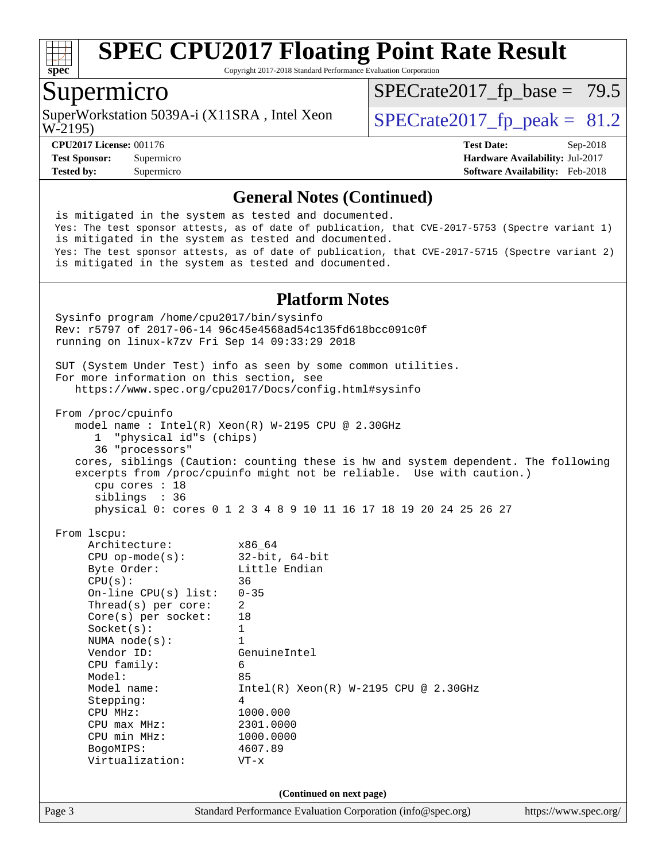

Copyright 2017-2018 Standard Performance Evaluation Corporation

### Supermicro

W-2195) SuperWorkstation 5039A-i (X11SRA, Intel Xeon  $\big|$  [SPECrate2017\\_fp\\_peak =](http://www.spec.org/auto/cpu2017/Docs/result-fields.html#SPECrate2017fppeak) 81.2

 $SPECTate2017_fp\_base = 79.5$ 

**[CPU2017 License:](http://www.spec.org/auto/cpu2017/Docs/result-fields.html#CPU2017License)** 001176 **[Test Date:](http://www.spec.org/auto/cpu2017/Docs/result-fields.html#TestDate)** Sep-2018 **[Test Sponsor:](http://www.spec.org/auto/cpu2017/Docs/result-fields.html#TestSponsor)** Supermicro **[Hardware Availability:](http://www.spec.org/auto/cpu2017/Docs/result-fields.html#HardwareAvailability)** Jul-2017 **[Tested by:](http://www.spec.org/auto/cpu2017/Docs/result-fields.html#Testedby)** Supermicro **[Software Availability:](http://www.spec.org/auto/cpu2017/Docs/result-fields.html#SoftwareAvailability)** Feb-2018

#### **[General Notes \(Continued\)](http://www.spec.org/auto/cpu2017/Docs/result-fields.html#GeneralNotes)**

 is mitigated in the system as tested and documented. Yes: The test sponsor attests, as of date of publication, that CVE-2017-5753 (Spectre variant 1) is mitigated in the system as tested and documented. Yes: The test sponsor attests, as of date of publication, that CVE-2017-5715 (Spectre variant 2) is mitigated in the system as tested and documented.

#### **[Platform Notes](http://www.spec.org/auto/cpu2017/Docs/result-fields.html#PlatformNotes)**

Page 3 Standard Performance Evaluation Corporation [\(info@spec.org\)](mailto:info@spec.org) <https://www.spec.org/> Sysinfo program /home/cpu2017/bin/sysinfo Rev: r5797 of 2017-06-14 96c45e4568ad54c135fd618bcc091c0f running on linux-k7zv Fri Sep 14 09:33:29 2018 SUT (System Under Test) info as seen by some common utilities. For more information on this section, see <https://www.spec.org/cpu2017/Docs/config.html#sysinfo> From /proc/cpuinfo model name : Intel(R) Xeon(R) W-2195 CPU @ 2.30GHz 1 "physical id"s (chips) 36 "processors" cores, siblings (Caution: counting these is hw and system dependent. The following excerpts from /proc/cpuinfo might not be reliable. Use with caution.) cpu cores : 18 siblings : 36 physical 0: cores 0 1 2 3 4 8 9 10 11 16 17 18 19 20 24 25 26 27 From lscpu: Architecture: x86\_64 CPU op-mode(s): 32-bit, 64-bit Byte Order: Little Endian  $CPU(s):$  36 On-line CPU(s) list: 0-35 Thread(s) per core: 2 Core(s) per socket: 18 Socket(s): 1 NUMA node(s): 1 Vendor ID: GenuineIntel CPU family: 6 Model: 85 Model name: Intel(R) Xeon(R) W-2195 CPU @ 2.30GHz Stepping: 4 CPU MHz: 1000.000 CPU max MHz: 2301.0000 CPU min MHz: 1000.0000 BogoMIPS: 4607.89 Virtualization: VT-x **(Continued on next page)**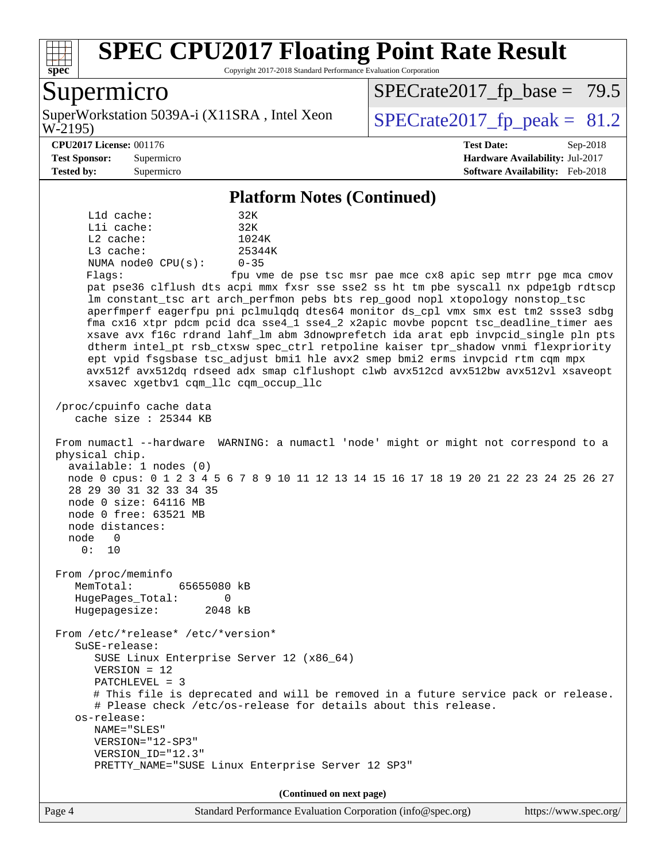

Copyright 2017-2018 Standard Performance Evaluation Corporation

# Supermicro

W-2195) SuperWorkstation 5039A-i (X11SRA, Intel Xeon  $\big|$  [SPECrate2017\\_fp\\_peak =](http://www.spec.org/auto/cpu2017/Docs/result-fields.html#SPECrate2017fppeak) 81.2

 $SPECTate2017_fp\_base = 79.5$ 

**[Tested by:](http://www.spec.org/auto/cpu2017/Docs/result-fields.html#Testedby)** Supermicro **[Software Availability:](http://www.spec.org/auto/cpu2017/Docs/result-fields.html#SoftwareAvailability)** Feb-2018

**[CPU2017 License:](http://www.spec.org/auto/cpu2017/Docs/result-fields.html#CPU2017License)** 001176 **[Test Date:](http://www.spec.org/auto/cpu2017/Docs/result-fields.html#TestDate)** Sep-2018 **[Test Sponsor:](http://www.spec.org/auto/cpu2017/Docs/result-fields.html#TestSponsor)** Supermicro **[Hardware Availability:](http://www.spec.org/auto/cpu2017/Docs/result-fields.html#HardwareAvailability)** Jul-2017

#### **[Platform Notes \(Continued\)](http://www.spec.org/auto/cpu2017/Docs/result-fields.html#PlatformNotes)**

 L1d cache: 32K L1i cache: 32K L2 cache: 1024K L3 cache: 25344K NUMA node0 CPU(s): 0-35 Flags: fpu vme de pse tsc msr pae mce cx8 apic sep mtrr pge mca cmov pat pse36 clflush dts acpi mmx fxsr sse sse2 ss ht tm pbe syscall nx pdpe1gb rdtscp lm constant\_tsc art arch\_perfmon pebs bts rep\_good nopl xtopology nonstop\_tsc aperfmperf eagerfpu pni pclmulqdq dtes64 monitor ds\_cpl vmx smx est tm2 ssse3 sdbg fma cx16 xtpr pdcm pcid dca sse4\_1 sse4\_2 x2apic movbe popcnt tsc\_deadline\_timer aes xsave avx f16c rdrand lahf\_lm abm 3dnowprefetch ida arat epb invpcid\_single pln pts dtherm intel\_pt rsb\_ctxsw spec\_ctrl retpoline kaiser tpr\_shadow vnmi flexpriority ept vpid fsgsbase tsc\_adjust bmi1 hle avx2 smep bmi2 erms invpcid rtm cqm mpx avx512f avx512dq rdseed adx smap clflushopt clwb avx512cd avx512bw avx512vl xsaveopt xsavec xgetbv1 cqm\_llc cqm\_occup\_llc /proc/cpuinfo cache data cache size : 25344 KB From numactl --hardware WARNING: a numactl 'node' might or might not correspond to a physical chip. available: 1 nodes (0) node 0 cpus: 0 1 2 3 4 5 6 7 8 9 10 11 12 13 14 15 16 17 18 19 20 21 22 23 24 25 26 27 28 29 30 31 32 33 34 35 node 0 size: 64116 MB node 0 free: 63521 MB node distances: node 0 0: 10 From /proc/meminfo MemTotal: 65655080 kB HugePages\_Total: 0 Hugepagesize: 2048 kB From /etc/\*release\* /etc/\*version\* SuSE-release: SUSE Linux Enterprise Server 12 (x86\_64) VERSION = 12 PATCHLEVEL = 3 # This file is deprecated and will be removed in a future service pack or release. # Please check /etc/os-release for details about this release. os-release: NAME="SLES" VERSION="12-SP3" VERSION\_ID="12.3" PRETTY\_NAME="SUSE Linux Enterprise Server 12 SP3" **(Continued on next page)**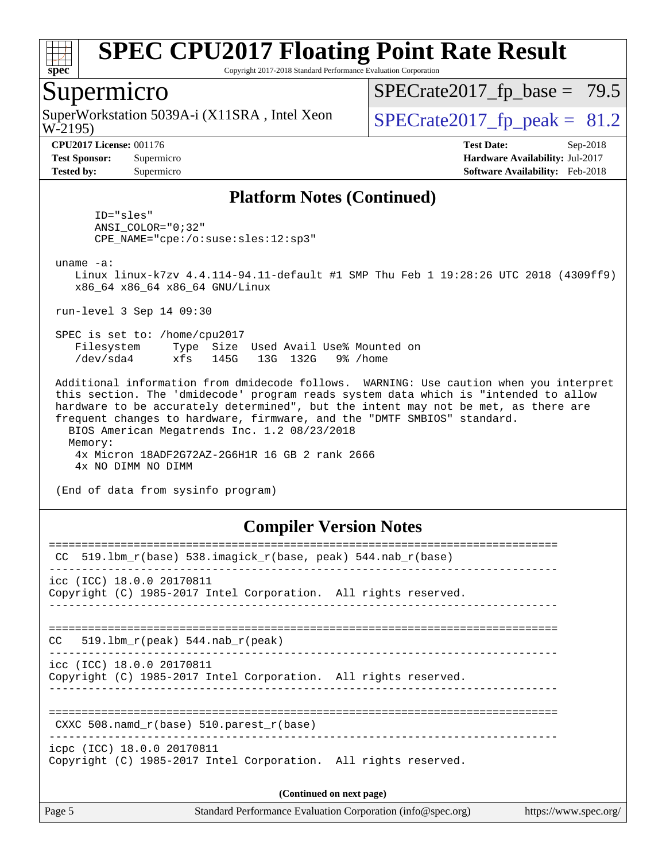

Copyright 2017-2018 Standard Performance Evaluation Corporation

### Supermicro

W-2195) SuperWorkstation 5039A-i (X11SRA, Intel Xeon  $\big|$  [SPECrate2017\\_fp\\_peak =](http://www.spec.org/auto/cpu2017/Docs/result-fields.html#SPECrate2017fppeak) 81.2

 $SPECTate2017_fp\_base = 79.5$ 

**[CPU2017 License:](http://www.spec.org/auto/cpu2017/Docs/result-fields.html#CPU2017License)** 001176 **[Test Date:](http://www.spec.org/auto/cpu2017/Docs/result-fields.html#TestDate)** Sep-2018 **[Test Sponsor:](http://www.spec.org/auto/cpu2017/Docs/result-fields.html#TestSponsor)** Supermicro **[Hardware Availability:](http://www.spec.org/auto/cpu2017/Docs/result-fields.html#HardwareAvailability)** Jul-2017 **[Tested by:](http://www.spec.org/auto/cpu2017/Docs/result-fields.html#Testedby)** Supermicro **[Software Availability:](http://www.spec.org/auto/cpu2017/Docs/result-fields.html#SoftwareAvailability)** Feb-2018

#### **[Platform Notes \(Continued\)](http://www.spec.org/auto/cpu2017/Docs/result-fields.html#PlatformNotes)**

 ID="sles" ANSI\_COLOR="0;32" CPE\_NAME="cpe:/o:suse:sles:12:sp3"

uname -a:

 Linux linux-k7zv 4.4.114-94.11-default #1 SMP Thu Feb 1 19:28:26 UTC 2018 (4309ff9) x86\_64 x86\_64 x86\_64 GNU/Linux

run-level 3 Sep 14 09:30

 SPEC is set to: /home/cpu2017 Filesystem Type Size Used Avail Use% Mounted on /dev/sda4 xfs 145G 13G 132G 9% /home

 Additional information from dmidecode follows. WARNING: Use caution when you interpret this section. The 'dmidecode' program reads system data which is "intended to allow hardware to be accurately determined", but the intent may not be met, as there are frequent changes to hardware, firmware, and the "DMTF SMBIOS" standard. BIOS American Megatrends Inc. 1.2 08/23/2018 Memory:

 4x Micron 18ADF2G72AZ-2G6H1R 16 GB 2 rank 2666 4x NO DIMM NO DIMM

(End of data from sysinfo program)

#### **[Compiler Version Notes](http://www.spec.org/auto/cpu2017/Docs/result-fields.html#CompilerVersionNotes)**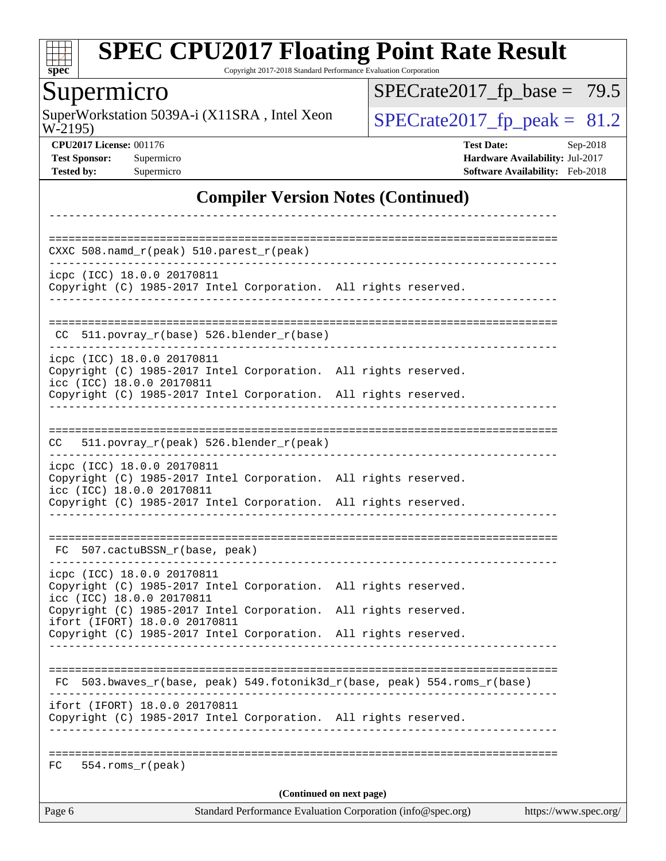

Copyright 2017-2018 Standard Performance Evaluation Corporation

# Supermicro

W-2195) SuperWorkstation 5039A-i (X11SRA, Intel Xeon  $SPECrate2017_fp\_peak = 81.2$ 

 $SPECrate2017_fp\_base = 79.5$ 

**[CPU2017 License:](http://www.spec.org/auto/cpu2017/Docs/result-fields.html#CPU2017License)** 001176 **[Test Date:](http://www.spec.org/auto/cpu2017/Docs/result-fields.html#TestDate)** Sep-2018 **[Test Sponsor:](http://www.spec.org/auto/cpu2017/Docs/result-fields.html#TestSponsor)** Supermicro **[Hardware Availability:](http://www.spec.org/auto/cpu2017/Docs/result-fields.html#HardwareAvailability)** Jul-2017 **[Tested by:](http://www.spec.org/auto/cpu2017/Docs/result-fields.html#Testedby)** Supermicro **[Software Availability:](http://www.spec.org/auto/cpu2017/Docs/result-fields.html#SoftwareAvailability)** Feb-2018

#### **[Compiler Version Notes \(Continued\)](http://www.spec.org/auto/cpu2017/Docs/result-fields.html#CompilerVersionNotes)**

| Page 6                                                  |                                                                                                                                                | Standard Performance Evaluation Corporation (info@spec.org) |                          |                                                                       | https://www.spec.org/ |
|---------------------------------------------------------|------------------------------------------------------------------------------------------------------------------------------------------------|-------------------------------------------------------------|--------------------------|-----------------------------------------------------------------------|-----------------------|
| $554.rows_r (peak)$<br>FC.                              |                                                                                                                                                |                                                             | (Continued on next page) |                                                                       |                       |
|                                                         |                                                                                                                                                |                                                             |                          |                                                                       |                       |
|                                                         | ifort (IFORT) 18.0.0 20170811<br>Copyright (C) 1985-2017 Intel Corporation. All rights reserved.                                               |                                                             |                          |                                                                       |                       |
| FC.                                                     |                                                                                                                                                |                                                             |                          | 503.bwaves_r(base, peak) 549.fotonik3d_r(base, peak) 554.roms_r(base) |                       |
|                                                         |                                                                                                                                                |                                                             |                          |                                                                       |                       |
|                                                         | Copyright (C) 1985-2017 Intel Corporation.<br>ifort (IFORT) 18.0.0 20170811<br>Copyright (C) 1985-2017 Intel Corporation. All rights reserved. |                                                             |                          | All rights reserved.                                                  |                       |
| icpc (ICC) 18.0.0 20170811<br>icc (ICC) 18.0.0 20170811 | Copyright (C) 1985-2017 Intel Corporation. All rights reserved.                                                                                |                                                             |                          |                                                                       |                       |
|                                                         | FC 507.cactuBSSN_r(base, peak)                                                                                                                 |                                                             |                          |                                                                       |                       |
| icc (ICC) 18.0.0 20170811                               | Copyright (C) 1985-2017 Intel Corporation. All rights reserved.                                                                                |                                                             |                          |                                                                       |                       |
| icpc (ICC) 18.0.0 20170811                              | Copyright (C) 1985-2017 Intel Corporation. All rights reserved.                                                                                |                                                             |                          |                                                                       |                       |
| CC.                                                     | 511.povray_r(peak) 526.blender_r(peak)                                                                                                         |                                                             |                          |                                                                       |                       |
|                                                         |                                                                                                                                                |                                                             |                          |                                                                       |                       |
| icpc (ICC) 18.0.0 20170811<br>icc (ICC) 18.0.0 20170811 | Copyright (C) 1985-2017 Intel Corporation. All rights reserved.<br>Copyright (C) 1985-2017 Intel Corporation. All rights reserved.             |                                                             |                          |                                                                       |                       |
|                                                         | $CC$ 511.povray_r(base) 526.blender_r(base)                                                                                                    |                                                             |                          |                                                                       |                       |
| icpc (ICC) 18.0.0 20170811                              | Copyright (C) 1985-2017 Intel Corporation. All rights reserved.                                                                                |                                                             |                          |                                                                       |                       |
|                                                         |                                                                                                                                                |                                                             |                          |                                                                       |                       |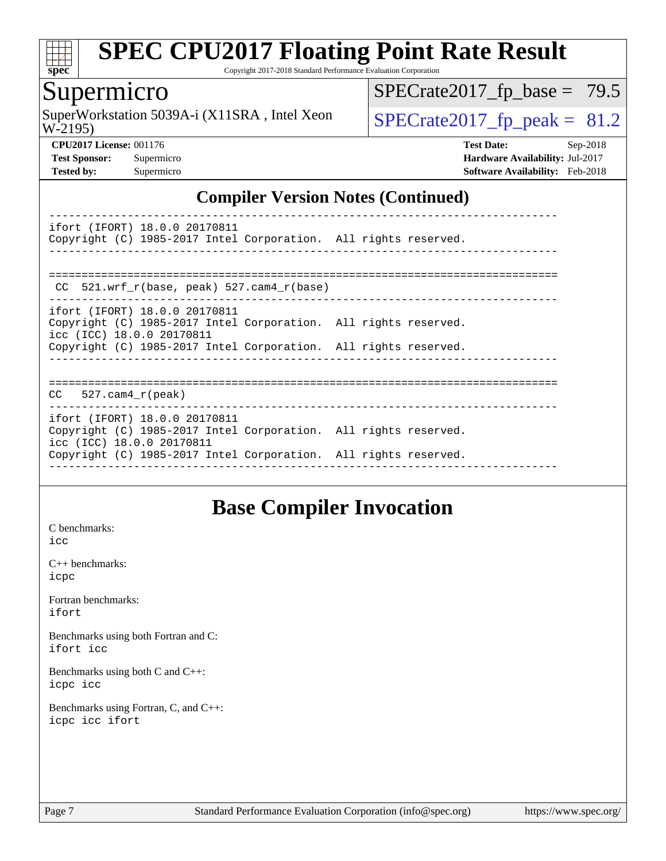

Copyright 2017-2018 Standard Performance Evaluation Corporation

# Supermicro

W-2195) SuperWorkstation 5039A-i (X11SRA, Intel Xeon  $SPECrate2017$  fp peak = 81.2

 $SPECTate2017_fp\_base = 79.5$ 

**[CPU2017 License:](http://www.spec.org/auto/cpu2017/Docs/result-fields.html#CPU2017License)** 001176 **[Test Date:](http://www.spec.org/auto/cpu2017/Docs/result-fields.html#TestDate)** Sep-2018 **[Test Sponsor:](http://www.spec.org/auto/cpu2017/Docs/result-fields.html#TestSponsor)** Supermicro **[Hardware Availability:](http://www.spec.org/auto/cpu2017/Docs/result-fields.html#HardwareAvailability)** Jul-2017 **[Tested by:](http://www.spec.org/auto/cpu2017/Docs/result-fields.html#Testedby)** Supermicro **[Software Availability:](http://www.spec.org/auto/cpu2017/Docs/result-fields.html#SoftwareAvailability)** Feb-2018

### **[Compiler Version Notes \(Continued\)](http://www.spec.org/auto/cpu2017/Docs/result-fields.html#CompilerVersionNotes)**

----------------------------------------------------------------------------- ifort (IFORT) 18.0.0 20170811 Copyright (C) 1985-2017 Intel Corporation. All rights reserved. ------------------------------------------------------------------------------ ============================================================================== CC 521.wrf\_r(base, peak) 527.cam4\_r(base) ----------------------------------------------------------------------------- ifort (IFORT) 18.0.0 20170811 Copyright (C) 1985-2017 Intel Corporation. All rights reserved. icc (ICC) 18.0.0 20170811 Copyright (C) 1985-2017 Intel Corporation. All rights reserved.

------------------------------------------------------------------------------

==============================================================================

#### CC 527.cam4\_r(peak)

----------------------------------------------------------------------------- ifort (IFORT) 18.0.0 20170811 Copyright (C) 1985-2017 Intel Corporation. All rights reserved. icc (ICC) 18.0.0 20170811 Copyright (C) 1985-2017 Intel Corporation. All rights reserved.

### **[Base Compiler Invocation](http://www.spec.org/auto/cpu2017/Docs/result-fields.html#BaseCompilerInvocation)**

------------------------------------------------------------------------------

[C benchmarks](http://www.spec.org/auto/cpu2017/Docs/result-fields.html#Cbenchmarks): [icc](http://www.spec.org/cpu2017/results/res2018q4/cpu2017-20181002-09068.flags.html#user_CCbase_intel_icc_18.0_66fc1ee009f7361af1fbd72ca7dcefbb700085f36577c54f309893dd4ec40d12360134090235512931783d35fd58c0460139e722d5067c5574d8eaf2b3e37e92)

[C++ benchmarks:](http://www.spec.org/auto/cpu2017/Docs/result-fields.html#CXXbenchmarks) [icpc](http://www.spec.org/cpu2017/results/res2018q4/cpu2017-20181002-09068.flags.html#user_CXXbase_intel_icpc_18.0_c510b6838c7f56d33e37e94d029a35b4a7bccf4766a728ee175e80a419847e808290a9b78be685c44ab727ea267ec2f070ec5dc83b407c0218cded6866a35d07)

[Fortran benchmarks](http://www.spec.org/auto/cpu2017/Docs/result-fields.html#Fortranbenchmarks): [ifort](http://www.spec.org/cpu2017/results/res2018q4/cpu2017-20181002-09068.flags.html#user_FCbase_intel_ifort_18.0_8111460550e3ca792625aed983ce982f94888b8b503583aa7ba2b8303487b4d8a21a13e7191a45c5fd58ff318f48f9492884d4413fa793fd88dd292cad7027ca)

[Benchmarks using both Fortran and C](http://www.spec.org/auto/cpu2017/Docs/result-fields.html#BenchmarksusingbothFortranandC): [ifort](http://www.spec.org/cpu2017/results/res2018q4/cpu2017-20181002-09068.flags.html#user_CC_FCbase_intel_ifort_18.0_8111460550e3ca792625aed983ce982f94888b8b503583aa7ba2b8303487b4d8a21a13e7191a45c5fd58ff318f48f9492884d4413fa793fd88dd292cad7027ca) [icc](http://www.spec.org/cpu2017/results/res2018q4/cpu2017-20181002-09068.flags.html#user_CC_FCbase_intel_icc_18.0_66fc1ee009f7361af1fbd72ca7dcefbb700085f36577c54f309893dd4ec40d12360134090235512931783d35fd58c0460139e722d5067c5574d8eaf2b3e37e92)

[Benchmarks using both C and C++](http://www.spec.org/auto/cpu2017/Docs/result-fields.html#BenchmarksusingbothCandCXX): [icpc](http://www.spec.org/cpu2017/results/res2018q4/cpu2017-20181002-09068.flags.html#user_CC_CXXbase_intel_icpc_18.0_c510b6838c7f56d33e37e94d029a35b4a7bccf4766a728ee175e80a419847e808290a9b78be685c44ab727ea267ec2f070ec5dc83b407c0218cded6866a35d07) [icc](http://www.spec.org/cpu2017/results/res2018q4/cpu2017-20181002-09068.flags.html#user_CC_CXXbase_intel_icc_18.0_66fc1ee009f7361af1fbd72ca7dcefbb700085f36577c54f309893dd4ec40d12360134090235512931783d35fd58c0460139e722d5067c5574d8eaf2b3e37e92)

[Benchmarks using Fortran, C, and C++:](http://www.spec.org/auto/cpu2017/Docs/result-fields.html#BenchmarksusingFortranCandCXX) [icpc](http://www.spec.org/cpu2017/results/res2018q4/cpu2017-20181002-09068.flags.html#user_CC_CXX_FCbase_intel_icpc_18.0_c510b6838c7f56d33e37e94d029a35b4a7bccf4766a728ee175e80a419847e808290a9b78be685c44ab727ea267ec2f070ec5dc83b407c0218cded6866a35d07) [icc](http://www.spec.org/cpu2017/results/res2018q4/cpu2017-20181002-09068.flags.html#user_CC_CXX_FCbase_intel_icc_18.0_66fc1ee009f7361af1fbd72ca7dcefbb700085f36577c54f309893dd4ec40d12360134090235512931783d35fd58c0460139e722d5067c5574d8eaf2b3e37e92) [ifort](http://www.spec.org/cpu2017/results/res2018q4/cpu2017-20181002-09068.flags.html#user_CC_CXX_FCbase_intel_ifort_18.0_8111460550e3ca792625aed983ce982f94888b8b503583aa7ba2b8303487b4d8a21a13e7191a45c5fd58ff318f48f9492884d4413fa793fd88dd292cad7027ca)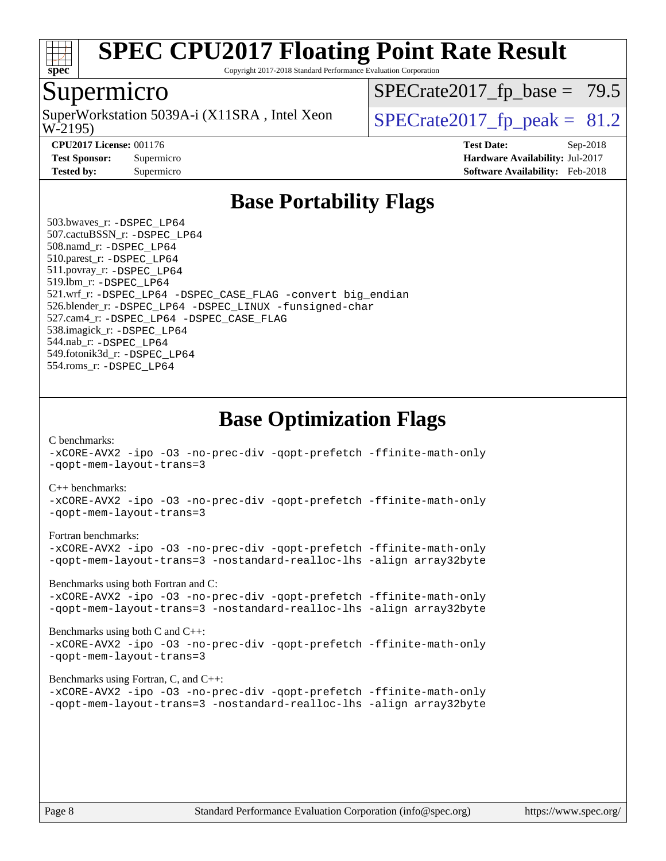

Copyright 2017-2018 Standard Performance Evaluation Corporation

### Supermicro

W-2195) SuperWorkstation 5039A-i (X11SRA, Intel Xeon  $\big|$  [SPECrate2017\\_fp\\_peak =](http://www.spec.org/auto/cpu2017/Docs/result-fields.html#SPECrate2017fppeak) 81.2

 $SPECTate2017_fp\_base = 79.5$ 

**[CPU2017 License:](http://www.spec.org/auto/cpu2017/Docs/result-fields.html#CPU2017License)** 001176 **[Test Date:](http://www.spec.org/auto/cpu2017/Docs/result-fields.html#TestDate)** Sep-2018

**[Test Sponsor:](http://www.spec.org/auto/cpu2017/Docs/result-fields.html#TestSponsor)** Supermicro **[Hardware Availability:](http://www.spec.org/auto/cpu2017/Docs/result-fields.html#HardwareAvailability)** Jul-2017 **[Tested by:](http://www.spec.org/auto/cpu2017/Docs/result-fields.html#Testedby)** Supermicro **[Software Availability:](http://www.spec.org/auto/cpu2017/Docs/result-fields.html#SoftwareAvailability)** Feb-2018

# **[Base Portability Flags](http://www.spec.org/auto/cpu2017/Docs/result-fields.html#BasePortabilityFlags)**

 503.bwaves\_r: [-DSPEC\\_LP64](http://www.spec.org/cpu2017/results/res2018q4/cpu2017-20181002-09068.flags.html#suite_basePORTABILITY503_bwaves_r_DSPEC_LP64) 507.cactuBSSN\_r: [-DSPEC\\_LP64](http://www.spec.org/cpu2017/results/res2018q4/cpu2017-20181002-09068.flags.html#suite_basePORTABILITY507_cactuBSSN_r_DSPEC_LP64) 508.namd\_r: [-DSPEC\\_LP64](http://www.spec.org/cpu2017/results/res2018q4/cpu2017-20181002-09068.flags.html#suite_basePORTABILITY508_namd_r_DSPEC_LP64) 510.parest\_r: [-DSPEC\\_LP64](http://www.spec.org/cpu2017/results/res2018q4/cpu2017-20181002-09068.flags.html#suite_basePORTABILITY510_parest_r_DSPEC_LP64) 511.povray\_r: [-DSPEC\\_LP64](http://www.spec.org/cpu2017/results/res2018q4/cpu2017-20181002-09068.flags.html#suite_basePORTABILITY511_povray_r_DSPEC_LP64) 519.lbm\_r: [-DSPEC\\_LP64](http://www.spec.org/cpu2017/results/res2018q4/cpu2017-20181002-09068.flags.html#suite_basePORTABILITY519_lbm_r_DSPEC_LP64) 521.wrf\_r: [-DSPEC\\_LP64](http://www.spec.org/cpu2017/results/res2018q4/cpu2017-20181002-09068.flags.html#suite_basePORTABILITY521_wrf_r_DSPEC_LP64) [-DSPEC\\_CASE\\_FLAG](http://www.spec.org/cpu2017/results/res2018q4/cpu2017-20181002-09068.flags.html#b521.wrf_r_baseCPORTABILITY_DSPEC_CASE_FLAG) [-convert big\\_endian](http://www.spec.org/cpu2017/results/res2018q4/cpu2017-20181002-09068.flags.html#user_baseFPORTABILITY521_wrf_r_convert_big_endian_c3194028bc08c63ac5d04de18c48ce6d347e4e562e8892b8bdbdc0214820426deb8554edfa529a3fb25a586e65a3d812c835984020483e7e73212c4d31a38223) 526.blender\_r: [-DSPEC\\_LP64](http://www.spec.org/cpu2017/results/res2018q4/cpu2017-20181002-09068.flags.html#suite_basePORTABILITY526_blender_r_DSPEC_LP64) [-DSPEC\\_LINUX](http://www.spec.org/cpu2017/results/res2018q4/cpu2017-20181002-09068.flags.html#b526.blender_r_baseCPORTABILITY_DSPEC_LINUX) [-funsigned-char](http://www.spec.org/cpu2017/results/res2018q4/cpu2017-20181002-09068.flags.html#user_baseCPORTABILITY526_blender_r_force_uchar_40c60f00ab013830e2dd6774aeded3ff59883ba5a1fc5fc14077f794d777847726e2a5858cbc7672e36e1b067e7e5c1d9a74f7176df07886a243d7cc18edfe67) 527.cam4\_r: [-DSPEC\\_LP64](http://www.spec.org/cpu2017/results/res2018q4/cpu2017-20181002-09068.flags.html#suite_basePORTABILITY527_cam4_r_DSPEC_LP64) [-DSPEC\\_CASE\\_FLAG](http://www.spec.org/cpu2017/results/res2018q4/cpu2017-20181002-09068.flags.html#b527.cam4_r_baseCPORTABILITY_DSPEC_CASE_FLAG) 538.imagick\_r: [-DSPEC\\_LP64](http://www.spec.org/cpu2017/results/res2018q4/cpu2017-20181002-09068.flags.html#suite_basePORTABILITY538_imagick_r_DSPEC_LP64) 544.nab\_r: [-DSPEC\\_LP64](http://www.spec.org/cpu2017/results/res2018q4/cpu2017-20181002-09068.flags.html#suite_basePORTABILITY544_nab_r_DSPEC_LP64) 549.fotonik3d\_r: [-DSPEC\\_LP64](http://www.spec.org/cpu2017/results/res2018q4/cpu2017-20181002-09068.flags.html#suite_basePORTABILITY549_fotonik3d_r_DSPEC_LP64) 554.roms\_r: [-DSPEC\\_LP64](http://www.spec.org/cpu2017/results/res2018q4/cpu2017-20181002-09068.flags.html#suite_basePORTABILITY554_roms_r_DSPEC_LP64)

**[Base Optimization Flags](http://www.spec.org/auto/cpu2017/Docs/result-fields.html#BaseOptimizationFlags)**

[C benchmarks](http://www.spec.org/auto/cpu2017/Docs/result-fields.html#Cbenchmarks):

[-xCORE-AVX2](http://www.spec.org/cpu2017/results/res2018q4/cpu2017-20181002-09068.flags.html#user_CCbase_f-xCORE-AVX2) [-ipo](http://www.spec.org/cpu2017/results/res2018q4/cpu2017-20181002-09068.flags.html#user_CCbase_f-ipo) [-O3](http://www.spec.org/cpu2017/results/res2018q4/cpu2017-20181002-09068.flags.html#user_CCbase_f-O3) [-no-prec-div](http://www.spec.org/cpu2017/results/res2018q4/cpu2017-20181002-09068.flags.html#user_CCbase_f-no-prec-div) [-qopt-prefetch](http://www.spec.org/cpu2017/results/res2018q4/cpu2017-20181002-09068.flags.html#user_CCbase_f-qopt-prefetch) [-ffinite-math-only](http://www.spec.org/cpu2017/results/res2018q4/cpu2017-20181002-09068.flags.html#user_CCbase_f_finite_math_only_cb91587bd2077682c4b38af759c288ed7c732db004271a9512da14a4f8007909a5f1427ecbf1a0fb78ff2a814402c6114ac565ca162485bbcae155b5e4258871) [-qopt-mem-layout-trans=3](http://www.spec.org/cpu2017/results/res2018q4/cpu2017-20181002-09068.flags.html#user_CCbase_f-qopt-mem-layout-trans_de80db37974c74b1f0e20d883f0b675c88c3b01e9d123adea9b28688d64333345fb62bc4a798493513fdb68f60282f9a726aa07f478b2f7113531aecce732043)

#### [C++ benchmarks:](http://www.spec.org/auto/cpu2017/Docs/result-fields.html#CXXbenchmarks)

[-xCORE-AVX2](http://www.spec.org/cpu2017/results/res2018q4/cpu2017-20181002-09068.flags.html#user_CXXbase_f-xCORE-AVX2) [-ipo](http://www.spec.org/cpu2017/results/res2018q4/cpu2017-20181002-09068.flags.html#user_CXXbase_f-ipo) [-O3](http://www.spec.org/cpu2017/results/res2018q4/cpu2017-20181002-09068.flags.html#user_CXXbase_f-O3) [-no-prec-div](http://www.spec.org/cpu2017/results/res2018q4/cpu2017-20181002-09068.flags.html#user_CXXbase_f-no-prec-div) [-qopt-prefetch](http://www.spec.org/cpu2017/results/res2018q4/cpu2017-20181002-09068.flags.html#user_CXXbase_f-qopt-prefetch) [-ffinite-math-only](http://www.spec.org/cpu2017/results/res2018q4/cpu2017-20181002-09068.flags.html#user_CXXbase_f_finite_math_only_cb91587bd2077682c4b38af759c288ed7c732db004271a9512da14a4f8007909a5f1427ecbf1a0fb78ff2a814402c6114ac565ca162485bbcae155b5e4258871) [-qopt-mem-layout-trans=3](http://www.spec.org/cpu2017/results/res2018q4/cpu2017-20181002-09068.flags.html#user_CXXbase_f-qopt-mem-layout-trans_de80db37974c74b1f0e20d883f0b675c88c3b01e9d123adea9b28688d64333345fb62bc4a798493513fdb68f60282f9a726aa07f478b2f7113531aecce732043)

#### [Fortran benchmarks](http://www.spec.org/auto/cpu2017/Docs/result-fields.html#Fortranbenchmarks):

[-xCORE-AVX2](http://www.spec.org/cpu2017/results/res2018q4/cpu2017-20181002-09068.flags.html#user_FCbase_f-xCORE-AVX2) [-ipo](http://www.spec.org/cpu2017/results/res2018q4/cpu2017-20181002-09068.flags.html#user_FCbase_f-ipo) [-O3](http://www.spec.org/cpu2017/results/res2018q4/cpu2017-20181002-09068.flags.html#user_FCbase_f-O3) [-no-prec-div](http://www.spec.org/cpu2017/results/res2018q4/cpu2017-20181002-09068.flags.html#user_FCbase_f-no-prec-div) [-qopt-prefetch](http://www.spec.org/cpu2017/results/res2018q4/cpu2017-20181002-09068.flags.html#user_FCbase_f-qopt-prefetch) [-ffinite-math-only](http://www.spec.org/cpu2017/results/res2018q4/cpu2017-20181002-09068.flags.html#user_FCbase_f_finite_math_only_cb91587bd2077682c4b38af759c288ed7c732db004271a9512da14a4f8007909a5f1427ecbf1a0fb78ff2a814402c6114ac565ca162485bbcae155b5e4258871) [-qopt-mem-layout-trans=3](http://www.spec.org/cpu2017/results/res2018q4/cpu2017-20181002-09068.flags.html#user_FCbase_f-qopt-mem-layout-trans_de80db37974c74b1f0e20d883f0b675c88c3b01e9d123adea9b28688d64333345fb62bc4a798493513fdb68f60282f9a726aa07f478b2f7113531aecce732043) [-nostandard-realloc-lhs](http://www.spec.org/cpu2017/results/res2018q4/cpu2017-20181002-09068.flags.html#user_FCbase_f_2003_std_realloc_82b4557e90729c0f113870c07e44d33d6f5a304b4f63d4c15d2d0f1fab99f5daaed73bdb9275d9ae411527f28b936061aa8b9c8f2d63842963b95c9dd6426b8a) [-align array32byte](http://www.spec.org/cpu2017/results/res2018q4/cpu2017-20181002-09068.flags.html#user_FCbase_align_array32byte_b982fe038af199962ba9a80c053b8342c548c85b40b8e86eb3cc33dee0d7986a4af373ac2d51c3f7cf710a18d62fdce2948f201cd044323541f22fc0fffc51b6)

[Benchmarks using both Fortran and C](http://www.spec.org/auto/cpu2017/Docs/result-fields.html#BenchmarksusingbothFortranandC):

[-xCORE-AVX2](http://www.spec.org/cpu2017/results/res2018q4/cpu2017-20181002-09068.flags.html#user_CC_FCbase_f-xCORE-AVX2) [-ipo](http://www.spec.org/cpu2017/results/res2018q4/cpu2017-20181002-09068.flags.html#user_CC_FCbase_f-ipo) [-O3](http://www.spec.org/cpu2017/results/res2018q4/cpu2017-20181002-09068.flags.html#user_CC_FCbase_f-O3) [-no-prec-div](http://www.spec.org/cpu2017/results/res2018q4/cpu2017-20181002-09068.flags.html#user_CC_FCbase_f-no-prec-div) [-qopt-prefetch](http://www.spec.org/cpu2017/results/res2018q4/cpu2017-20181002-09068.flags.html#user_CC_FCbase_f-qopt-prefetch) [-ffinite-math-only](http://www.spec.org/cpu2017/results/res2018q4/cpu2017-20181002-09068.flags.html#user_CC_FCbase_f_finite_math_only_cb91587bd2077682c4b38af759c288ed7c732db004271a9512da14a4f8007909a5f1427ecbf1a0fb78ff2a814402c6114ac565ca162485bbcae155b5e4258871) [-qopt-mem-layout-trans=3](http://www.spec.org/cpu2017/results/res2018q4/cpu2017-20181002-09068.flags.html#user_CC_FCbase_f-qopt-mem-layout-trans_de80db37974c74b1f0e20d883f0b675c88c3b01e9d123adea9b28688d64333345fb62bc4a798493513fdb68f60282f9a726aa07f478b2f7113531aecce732043) [-nostandard-realloc-lhs](http://www.spec.org/cpu2017/results/res2018q4/cpu2017-20181002-09068.flags.html#user_CC_FCbase_f_2003_std_realloc_82b4557e90729c0f113870c07e44d33d6f5a304b4f63d4c15d2d0f1fab99f5daaed73bdb9275d9ae411527f28b936061aa8b9c8f2d63842963b95c9dd6426b8a) [-align array32byte](http://www.spec.org/cpu2017/results/res2018q4/cpu2017-20181002-09068.flags.html#user_CC_FCbase_align_array32byte_b982fe038af199962ba9a80c053b8342c548c85b40b8e86eb3cc33dee0d7986a4af373ac2d51c3f7cf710a18d62fdce2948f201cd044323541f22fc0fffc51b6)

[Benchmarks using both C and C++](http://www.spec.org/auto/cpu2017/Docs/result-fields.html#BenchmarksusingbothCandCXX): [-xCORE-AVX2](http://www.spec.org/cpu2017/results/res2018q4/cpu2017-20181002-09068.flags.html#user_CC_CXXbase_f-xCORE-AVX2) [-ipo](http://www.spec.org/cpu2017/results/res2018q4/cpu2017-20181002-09068.flags.html#user_CC_CXXbase_f-ipo) [-O3](http://www.spec.org/cpu2017/results/res2018q4/cpu2017-20181002-09068.flags.html#user_CC_CXXbase_f-O3) [-no-prec-div](http://www.spec.org/cpu2017/results/res2018q4/cpu2017-20181002-09068.flags.html#user_CC_CXXbase_f-no-prec-div) [-qopt-prefetch](http://www.spec.org/cpu2017/results/res2018q4/cpu2017-20181002-09068.flags.html#user_CC_CXXbase_f-qopt-prefetch) [-ffinite-math-only](http://www.spec.org/cpu2017/results/res2018q4/cpu2017-20181002-09068.flags.html#user_CC_CXXbase_f_finite_math_only_cb91587bd2077682c4b38af759c288ed7c732db004271a9512da14a4f8007909a5f1427ecbf1a0fb78ff2a814402c6114ac565ca162485bbcae155b5e4258871) [-qopt-mem-layout-trans=3](http://www.spec.org/cpu2017/results/res2018q4/cpu2017-20181002-09068.flags.html#user_CC_CXXbase_f-qopt-mem-layout-trans_de80db37974c74b1f0e20d883f0b675c88c3b01e9d123adea9b28688d64333345fb62bc4a798493513fdb68f60282f9a726aa07f478b2f7113531aecce732043)

#### [Benchmarks using Fortran, C, and C++:](http://www.spec.org/auto/cpu2017/Docs/result-fields.html#BenchmarksusingFortranCandCXX)

[-xCORE-AVX2](http://www.spec.org/cpu2017/results/res2018q4/cpu2017-20181002-09068.flags.html#user_CC_CXX_FCbase_f-xCORE-AVX2) [-ipo](http://www.spec.org/cpu2017/results/res2018q4/cpu2017-20181002-09068.flags.html#user_CC_CXX_FCbase_f-ipo) [-O3](http://www.spec.org/cpu2017/results/res2018q4/cpu2017-20181002-09068.flags.html#user_CC_CXX_FCbase_f-O3) [-no-prec-div](http://www.spec.org/cpu2017/results/res2018q4/cpu2017-20181002-09068.flags.html#user_CC_CXX_FCbase_f-no-prec-div) [-qopt-prefetch](http://www.spec.org/cpu2017/results/res2018q4/cpu2017-20181002-09068.flags.html#user_CC_CXX_FCbase_f-qopt-prefetch) [-ffinite-math-only](http://www.spec.org/cpu2017/results/res2018q4/cpu2017-20181002-09068.flags.html#user_CC_CXX_FCbase_f_finite_math_only_cb91587bd2077682c4b38af759c288ed7c732db004271a9512da14a4f8007909a5f1427ecbf1a0fb78ff2a814402c6114ac565ca162485bbcae155b5e4258871) [-qopt-mem-layout-trans=3](http://www.spec.org/cpu2017/results/res2018q4/cpu2017-20181002-09068.flags.html#user_CC_CXX_FCbase_f-qopt-mem-layout-trans_de80db37974c74b1f0e20d883f0b675c88c3b01e9d123adea9b28688d64333345fb62bc4a798493513fdb68f60282f9a726aa07f478b2f7113531aecce732043) [-nostandard-realloc-lhs](http://www.spec.org/cpu2017/results/res2018q4/cpu2017-20181002-09068.flags.html#user_CC_CXX_FCbase_f_2003_std_realloc_82b4557e90729c0f113870c07e44d33d6f5a304b4f63d4c15d2d0f1fab99f5daaed73bdb9275d9ae411527f28b936061aa8b9c8f2d63842963b95c9dd6426b8a) [-align array32byte](http://www.spec.org/cpu2017/results/res2018q4/cpu2017-20181002-09068.flags.html#user_CC_CXX_FCbase_align_array32byte_b982fe038af199962ba9a80c053b8342c548c85b40b8e86eb3cc33dee0d7986a4af373ac2d51c3f7cf710a18d62fdce2948f201cd044323541f22fc0fffc51b6)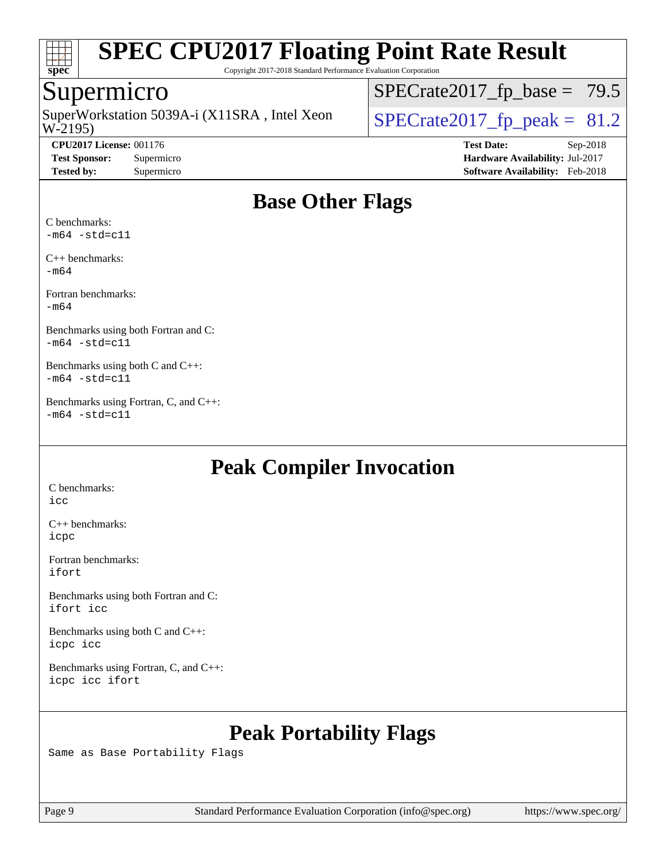

Copyright 2017-2018 Standard Performance Evaluation Corporation

### Supermicro

W-2195) SuperWorkstation 5039A-i (X11SRA, Intel Xeon  $\big|$  [SPECrate2017\\_fp\\_peak =](http://www.spec.org/auto/cpu2017/Docs/result-fields.html#SPECrate2017fppeak) 81.2

 $SPECrate2017_fp\_base = 79.5$ 

**[CPU2017 License:](http://www.spec.org/auto/cpu2017/Docs/result-fields.html#CPU2017License)** 001176 **[Test Date:](http://www.spec.org/auto/cpu2017/Docs/result-fields.html#TestDate)** Sep-2018 **[Test Sponsor:](http://www.spec.org/auto/cpu2017/Docs/result-fields.html#TestSponsor)** Supermicro **[Hardware Availability:](http://www.spec.org/auto/cpu2017/Docs/result-fields.html#HardwareAvailability)** Jul-2017 **[Tested by:](http://www.spec.org/auto/cpu2017/Docs/result-fields.html#Testedby)** Supermicro **[Software Availability:](http://www.spec.org/auto/cpu2017/Docs/result-fields.html#SoftwareAvailability)** Feb-2018

# **[Base Other Flags](http://www.spec.org/auto/cpu2017/Docs/result-fields.html#BaseOtherFlags)**

[C benchmarks:](http://www.spec.org/auto/cpu2017/Docs/result-fields.html#Cbenchmarks)  $-m64$   $-std=cl1$ 

[C++ benchmarks:](http://www.spec.org/auto/cpu2017/Docs/result-fields.html#CXXbenchmarks) [-m64](http://www.spec.org/cpu2017/results/res2018q4/cpu2017-20181002-09068.flags.html#user_CXXbase_intel_intel64_18.0_af43caccfc8ded86e7699f2159af6efc7655f51387b94da716254467f3c01020a5059329e2569e4053f409e7c9202a7efc638f7a6d1ffb3f52dea4a3e31d82ab)

[Fortran benchmarks](http://www.spec.org/auto/cpu2017/Docs/result-fields.html#Fortranbenchmarks): [-m64](http://www.spec.org/cpu2017/results/res2018q4/cpu2017-20181002-09068.flags.html#user_FCbase_intel_intel64_18.0_af43caccfc8ded86e7699f2159af6efc7655f51387b94da716254467f3c01020a5059329e2569e4053f409e7c9202a7efc638f7a6d1ffb3f52dea4a3e31d82ab)

[Benchmarks using both Fortran and C:](http://www.spec.org/auto/cpu2017/Docs/result-fields.html#BenchmarksusingbothFortranandC)  $-m64$   $-std=cl1$ 

[Benchmarks using both C and C++](http://www.spec.org/auto/cpu2017/Docs/result-fields.html#BenchmarksusingbothCandCXX):  $-m64$   $-std=cl1$ 

[Benchmarks using Fortran, C, and C++:](http://www.spec.org/auto/cpu2017/Docs/result-fields.html#BenchmarksusingFortranCandCXX)  $-m64 - std = c11$  $-m64 - std = c11$ 

# **[Peak Compiler Invocation](http://www.spec.org/auto/cpu2017/Docs/result-fields.html#PeakCompilerInvocation)**

[C benchmarks](http://www.spec.org/auto/cpu2017/Docs/result-fields.html#Cbenchmarks): [icc](http://www.spec.org/cpu2017/results/res2018q4/cpu2017-20181002-09068.flags.html#user_CCpeak_intel_icc_18.0_66fc1ee009f7361af1fbd72ca7dcefbb700085f36577c54f309893dd4ec40d12360134090235512931783d35fd58c0460139e722d5067c5574d8eaf2b3e37e92)

[C++ benchmarks:](http://www.spec.org/auto/cpu2017/Docs/result-fields.html#CXXbenchmarks) [icpc](http://www.spec.org/cpu2017/results/res2018q4/cpu2017-20181002-09068.flags.html#user_CXXpeak_intel_icpc_18.0_c510b6838c7f56d33e37e94d029a35b4a7bccf4766a728ee175e80a419847e808290a9b78be685c44ab727ea267ec2f070ec5dc83b407c0218cded6866a35d07)

[Fortran benchmarks](http://www.spec.org/auto/cpu2017/Docs/result-fields.html#Fortranbenchmarks): [ifort](http://www.spec.org/cpu2017/results/res2018q4/cpu2017-20181002-09068.flags.html#user_FCpeak_intel_ifort_18.0_8111460550e3ca792625aed983ce982f94888b8b503583aa7ba2b8303487b4d8a21a13e7191a45c5fd58ff318f48f9492884d4413fa793fd88dd292cad7027ca)

[Benchmarks using both Fortran and C](http://www.spec.org/auto/cpu2017/Docs/result-fields.html#BenchmarksusingbothFortranandC): [ifort](http://www.spec.org/cpu2017/results/res2018q4/cpu2017-20181002-09068.flags.html#user_CC_FCpeak_intel_ifort_18.0_8111460550e3ca792625aed983ce982f94888b8b503583aa7ba2b8303487b4d8a21a13e7191a45c5fd58ff318f48f9492884d4413fa793fd88dd292cad7027ca) [icc](http://www.spec.org/cpu2017/results/res2018q4/cpu2017-20181002-09068.flags.html#user_CC_FCpeak_intel_icc_18.0_66fc1ee009f7361af1fbd72ca7dcefbb700085f36577c54f309893dd4ec40d12360134090235512931783d35fd58c0460139e722d5067c5574d8eaf2b3e37e92)

[Benchmarks using both C and C++](http://www.spec.org/auto/cpu2017/Docs/result-fields.html#BenchmarksusingbothCandCXX): [icpc](http://www.spec.org/cpu2017/results/res2018q4/cpu2017-20181002-09068.flags.html#user_CC_CXXpeak_intel_icpc_18.0_c510b6838c7f56d33e37e94d029a35b4a7bccf4766a728ee175e80a419847e808290a9b78be685c44ab727ea267ec2f070ec5dc83b407c0218cded6866a35d07) [icc](http://www.spec.org/cpu2017/results/res2018q4/cpu2017-20181002-09068.flags.html#user_CC_CXXpeak_intel_icc_18.0_66fc1ee009f7361af1fbd72ca7dcefbb700085f36577c54f309893dd4ec40d12360134090235512931783d35fd58c0460139e722d5067c5574d8eaf2b3e37e92)

[Benchmarks using Fortran, C, and C++:](http://www.spec.org/auto/cpu2017/Docs/result-fields.html#BenchmarksusingFortranCandCXX) [icpc](http://www.spec.org/cpu2017/results/res2018q4/cpu2017-20181002-09068.flags.html#user_CC_CXX_FCpeak_intel_icpc_18.0_c510b6838c7f56d33e37e94d029a35b4a7bccf4766a728ee175e80a419847e808290a9b78be685c44ab727ea267ec2f070ec5dc83b407c0218cded6866a35d07) [icc](http://www.spec.org/cpu2017/results/res2018q4/cpu2017-20181002-09068.flags.html#user_CC_CXX_FCpeak_intel_icc_18.0_66fc1ee009f7361af1fbd72ca7dcefbb700085f36577c54f309893dd4ec40d12360134090235512931783d35fd58c0460139e722d5067c5574d8eaf2b3e37e92) [ifort](http://www.spec.org/cpu2017/results/res2018q4/cpu2017-20181002-09068.flags.html#user_CC_CXX_FCpeak_intel_ifort_18.0_8111460550e3ca792625aed983ce982f94888b8b503583aa7ba2b8303487b4d8a21a13e7191a45c5fd58ff318f48f9492884d4413fa793fd88dd292cad7027ca)

# **[Peak Portability Flags](http://www.spec.org/auto/cpu2017/Docs/result-fields.html#PeakPortabilityFlags)**

Same as Base Portability Flags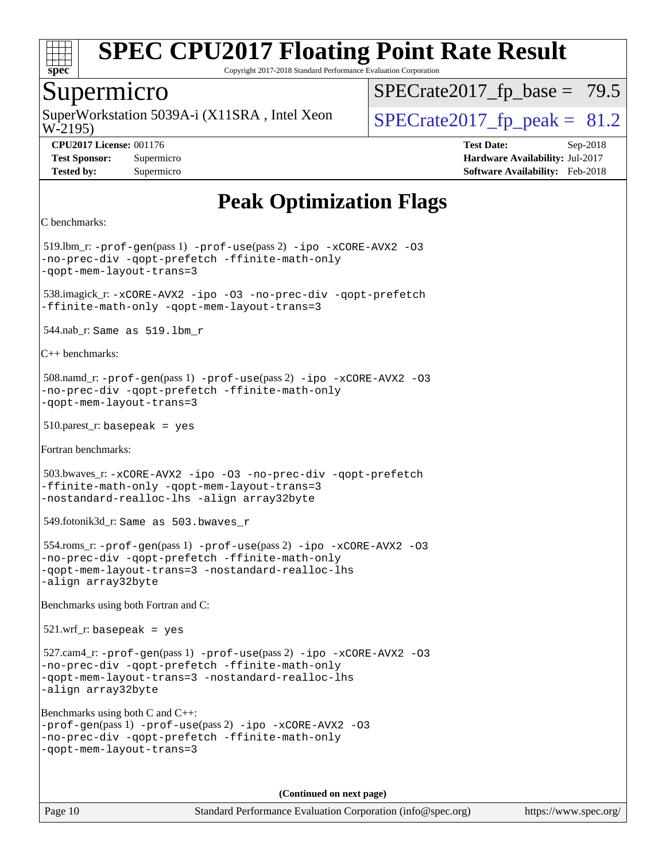

Copyright 2017-2018 Standard Performance Evaluation Corporation

### Supermicro

W-2195) SuperWorkstation 5039A-i (X11SRA, Intel Xeon  $\big|$  [SPECrate2017\\_fp\\_peak =](http://www.spec.org/auto/cpu2017/Docs/result-fields.html#SPECrate2017fppeak) 81.2

 $SPECTate2017_fp\_base = 79.5$ 

**[Test Sponsor:](http://www.spec.org/auto/cpu2017/Docs/result-fields.html#TestSponsor)** Supermicro **[Hardware Availability:](http://www.spec.org/auto/cpu2017/Docs/result-fields.html#HardwareAvailability)** Jul-2017 **[Tested by:](http://www.spec.org/auto/cpu2017/Docs/result-fields.html#Testedby)** Supermicro **[Software Availability:](http://www.spec.org/auto/cpu2017/Docs/result-fields.html#SoftwareAvailability)** Feb-2018

**[CPU2017 License:](http://www.spec.org/auto/cpu2017/Docs/result-fields.html#CPU2017License)** 001176 **[Test Date:](http://www.spec.org/auto/cpu2017/Docs/result-fields.html#TestDate)** Sep-2018

**[Peak Optimization Flags](http://www.spec.org/auto/cpu2017/Docs/result-fields.html#PeakOptimizationFlags)**

```
C benchmarks:
```
 519.lbm\_r: [-prof-gen](http://www.spec.org/cpu2017/results/res2018q4/cpu2017-20181002-09068.flags.html#user_peakPASS1_CFLAGSPASS1_LDFLAGS519_lbm_r_prof_gen_5aa4926d6013ddb2a31985c654b3eb18169fc0c6952a63635c234f711e6e63dd76e94ad52365559451ec499a2cdb89e4dc58ba4c67ef54ca681ffbe1461d6b36)(pass 1) [-prof-use](http://www.spec.org/cpu2017/results/res2018q4/cpu2017-20181002-09068.flags.html#user_peakPASS2_CFLAGSPASS2_LDFLAGS519_lbm_r_prof_use_1a21ceae95f36a2b53c25747139a6c16ca95bd9def2a207b4f0849963b97e94f5260e30a0c64f4bb623698870e679ca08317ef8150905d41bd88c6f78df73f19)(pass 2) [-ipo](http://www.spec.org/cpu2017/results/res2018q4/cpu2017-20181002-09068.flags.html#user_peakPASS1_COPTIMIZEPASS2_COPTIMIZE519_lbm_r_f-ipo) [-xCORE-AVX2](http://www.spec.org/cpu2017/results/res2018q4/cpu2017-20181002-09068.flags.html#user_peakPASS2_COPTIMIZE519_lbm_r_f-xCORE-AVX2) [-O3](http://www.spec.org/cpu2017/results/res2018q4/cpu2017-20181002-09068.flags.html#user_peakPASS1_COPTIMIZEPASS2_COPTIMIZE519_lbm_r_f-O3) [-no-prec-div](http://www.spec.org/cpu2017/results/res2018q4/cpu2017-20181002-09068.flags.html#user_peakPASS1_COPTIMIZEPASS2_COPTIMIZE519_lbm_r_f-no-prec-div) [-qopt-prefetch](http://www.spec.org/cpu2017/results/res2018q4/cpu2017-20181002-09068.flags.html#user_peakPASS1_COPTIMIZEPASS2_COPTIMIZE519_lbm_r_f-qopt-prefetch) [-ffinite-math-only](http://www.spec.org/cpu2017/results/res2018q4/cpu2017-20181002-09068.flags.html#user_peakPASS1_COPTIMIZEPASS2_COPTIMIZE519_lbm_r_f_finite_math_only_cb91587bd2077682c4b38af759c288ed7c732db004271a9512da14a4f8007909a5f1427ecbf1a0fb78ff2a814402c6114ac565ca162485bbcae155b5e4258871) [-qopt-mem-layout-trans=3](http://www.spec.org/cpu2017/results/res2018q4/cpu2017-20181002-09068.flags.html#user_peakPASS1_COPTIMIZEPASS2_COPTIMIZE519_lbm_r_f-qopt-mem-layout-trans_de80db37974c74b1f0e20d883f0b675c88c3b01e9d123adea9b28688d64333345fb62bc4a798493513fdb68f60282f9a726aa07f478b2f7113531aecce732043) 538.imagick\_r: [-xCORE-AVX2](http://www.spec.org/cpu2017/results/res2018q4/cpu2017-20181002-09068.flags.html#user_peakCOPTIMIZE538_imagick_r_f-xCORE-AVX2) [-ipo](http://www.spec.org/cpu2017/results/res2018q4/cpu2017-20181002-09068.flags.html#user_peakCOPTIMIZE538_imagick_r_f-ipo) [-O3](http://www.spec.org/cpu2017/results/res2018q4/cpu2017-20181002-09068.flags.html#user_peakCOPTIMIZE538_imagick_r_f-O3) [-no-prec-div](http://www.spec.org/cpu2017/results/res2018q4/cpu2017-20181002-09068.flags.html#user_peakCOPTIMIZE538_imagick_r_f-no-prec-div) [-qopt-prefetch](http://www.spec.org/cpu2017/results/res2018q4/cpu2017-20181002-09068.flags.html#user_peakCOPTIMIZE538_imagick_r_f-qopt-prefetch) [-ffinite-math-only](http://www.spec.org/cpu2017/results/res2018q4/cpu2017-20181002-09068.flags.html#user_peakCOPTIMIZE538_imagick_r_f_finite_math_only_cb91587bd2077682c4b38af759c288ed7c732db004271a9512da14a4f8007909a5f1427ecbf1a0fb78ff2a814402c6114ac565ca162485bbcae155b5e4258871) [-qopt-mem-layout-trans=3](http://www.spec.org/cpu2017/results/res2018q4/cpu2017-20181002-09068.flags.html#user_peakCOPTIMIZE538_imagick_r_f-qopt-mem-layout-trans_de80db37974c74b1f0e20d883f0b675c88c3b01e9d123adea9b28688d64333345fb62bc4a798493513fdb68f60282f9a726aa07f478b2f7113531aecce732043) 544.nab\_r: Same as 519.lbm\_r [C++ benchmarks](http://www.spec.org/auto/cpu2017/Docs/result-fields.html#CXXbenchmarks): 508.namd\_r: [-prof-gen](http://www.spec.org/cpu2017/results/res2018q4/cpu2017-20181002-09068.flags.html#user_peakPASS1_CXXFLAGSPASS1_LDFLAGS508_namd_r_prof_gen_5aa4926d6013ddb2a31985c654b3eb18169fc0c6952a63635c234f711e6e63dd76e94ad52365559451ec499a2cdb89e4dc58ba4c67ef54ca681ffbe1461d6b36)(pass 1) [-prof-use](http://www.spec.org/cpu2017/results/res2018q4/cpu2017-20181002-09068.flags.html#user_peakPASS2_CXXFLAGSPASS2_LDFLAGS508_namd_r_prof_use_1a21ceae95f36a2b53c25747139a6c16ca95bd9def2a207b4f0849963b97e94f5260e30a0c64f4bb623698870e679ca08317ef8150905d41bd88c6f78df73f19)(pass 2) [-ipo](http://www.spec.org/cpu2017/results/res2018q4/cpu2017-20181002-09068.flags.html#user_peakPASS1_CXXOPTIMIZEPASS2_CXXOPTIMIZE508_namd_r_f-ipo) [-xCORE-AVX2](http://www.spec.org/cpu2017/results/res2018q4/cpu2017-20181002-09068.flags.html#user_peakPASS2_CXXOPTIMIZE508_namd_r_f-xCORE-AVX2) [-O3](http://www.spec.org/cpu2017/results/res2018q4/cpu2017-20181002-09068.flags.html#user_peakPASS1_CXXOPTIMIZEPASS2_CXXOPTIMIZE508_namd_r_f-O3) [-no-prec-div](http://www.spec.org/cpu2017/results/res2018q4/cpu2017-20181002-09068.flags.html#user_peakPASS1_CXXOPTIMIZEPASS2_CXXOPTIMIZE508_namd_r_f-no-prec-div) [-qopt-prefetch](http://www.spec.org/cpu2017/results/res2018q4/cpu2017-20181002-09068.flags.html#user_peakPASS1_CXXOPTIMIZEPASS2_CXXOPTIMIZE508_namd_r_f-qopt-prefetch) [-ffinite-math-only](http://www.spec.org/cpu2017/results/res2018q4/cpu2017-20181002-09068.flags.html#user_peakPASS1_CXXOPTIMIZEPASS2_CXXOPTIMIZE508_namd_r_f_finite_math_only_cb91587bd2077682c4b38af759c288ed7c732db004271a9512da14a4f8007909a5f1427ecbf1a0fb78ff2a814402c6114ac565ca162485bbcae155b5e4258871) [-qopt-mem-layout-trans=3](http://www.spec.org/cpu2017/results/res2018q4/cpu2017-20181002-09068.flags.html#user_peakPASS1_CXXOPTIMIZEPASS2_CXXOPTIMIZE508_namd_r_f-qopt-mem-layout-trans_de80db37974c74b1f0e20d883f0b675c88c3b01e9d123adea9b28688d64333345fb62bc4a798493513fdb68f60282f9a726aa07f478b2f7113531aecce732043) 510.parest\_r: basepeak = yes [Fortran benchmarks:](http://www.spec.org/auto/cpu2017/Docs/result-fields.html#Fortranbenchmarks) 503.bwaves\_r: [-xCORE-AVX2](http://www.spec.org/cpu2017/results/res2018q4/cpu2017-20181002-09068.flags.html#user_peakFOPTIMIZE503_bwaves_r_f-xCORE-AVX2) [-ipo](http://www.spec.org/cpu2017/results/res2018q4/cpu2017-20181002-09068.flags.html#user_peakFOPTIMIZE503_bwaves_r_f-ipo) [-O3](http://www.spec.org/cpu2017/results/res2018q4/cpu2017-20181002-09068.flags.html#user_peakFOPTIMIZE503_bwaves_r_f-O3) [-no-prec-div](http://www.spec.org/cpu2017/results/res2018q4/cpu2017-20181002-09068.flags.html#user_peakFOPTIMIZE503_bwaves_r_f-no-prec-div) [-qopt-prefetch](http://www.spec.org/cpu2017/results/res2018q4/cpu2017-20181002-09068.flags.html#user_peakFOPTIMIZE503_bwaves_r_f-qopt-prefetch) [-ffinite-math-only](http://www.spec.org/cpu2017/results/res2018q4/cpu2017-20181002-09068.flags.html#user_peakFOPTIMIZE503_bwaves_r_f_finite_math_only_cb91587bd2077682c4b38af759c288ed7c732db004271a9512da14a4f8007909a5f1427ecbf1a0fb78ff2a814402c6114ac565ca162485bbcae155b5e4258871) [-qopt-mem-layout-trans=3](http://www.spec.org/cpu2017/results/res2018q4/cpu2017-20181002-09068.flags.html#user_peakFOPTIMIZE503_bwaves_r_f-qopt-mem-layout-trans_de80db37974c74b1f0e20d883f0b675c88c3b01e9d123adea9b28688d64333345fb62bc4a798493513fdb68f60282f9a726aa07f478b2f7113531aecce732043) [-nostandard-realloc-lhs](http://www.spec.org/cpu2017/results/res2018q4/cpu2017-20181002-09068.flags.html#user_peakEXTRA_FOPTIMIZE503_bwaves_r_f_2003_std_realloc_82b4557e90729c0f113870c07e44d33d6f5a304b4f63d4c15d2d0f1fab99f5daaed73bdb9275d9ae411527f28b936061aa8b9c8f2d63842963b95c9dd6426b8a) [-align array32byte](http://www.spec.org/cpu2017/results/res2018q4/cpu2017-20181002-09068.flags.html#user_peakEXTRA_FOPTIMIZE503_bwaves_r_align_array32byte_b982fe038af199962ba9a80c053b8342c548c85b40b8e86eb3cc33dee0d7986a4af373ac2d51c3f7cf710a18d62fdce2948f201cd044323541f22fc0fffc51b6) 549.fotonik3d\_r: Same as 503.bwaves\_r 554.roms\_r: [-prof-gen](http://www.spec.org/cpu2017/results/res2018q4/cpu2017-20181002-09068.flags.html#user_peakPASS1_FFLAGSPASS1_LDFLAGS554_roms_r_prof_gen_5aa4926d6013ddb2a31985c654b3eb18169fc0c6952a63635c234f711e6e63dd76e94ad52365559451ec499a2cdb89e4dc58ba4c67ef54ca681ffbe1461d6b36)(pass 1) [-prof-use](http://www.spec.org/cpu2017/results/res2018q4/cpu2017-20181002-09068.flags.html#user_peakPASS2_FFLAGSPASS2_LDFLAGS554_roms_r_prof_use_1a21ceae95f36a2b53c25747139a6c16ca95bd9def2a207b4f0849963b97e94f5260e30a0c64f4bb623698870e679ca08317ef8150905d41bd88c6f78df73f19)(pass 2) [-ipo](http://www.spec.org/cpu2017/results/res2018q4/cpu2017-20181002-09068.flags.html#user_peakPASS1_FOPTIMIZEPASS2_FOPTIMIZE554_roms_r_f-ipo) [-xCORE-AVX2](http://www.spec.org/cpu2017/results/res2018q4/cpu2017-20181002-09068.flags.html#user_peakPASS2_FOPTIMIZE554_roms_r_f-xCORE-AVX2) [-O3](http://www.spec.org/cpu2017/results/res2018q4/cpu2017-20181002-09068.flags.html#user_peakPASS1_FOPTIMIZEPASS2_FOPTIMIZE554_roms_r_f-O3) [-no-prec-div](http://www.spec.org/cpu2017/results/res2018q4/cpu2017-20181002-09068.flags.html#user_peakPASS1_FOPTIMIZEPASS2_FOPTIMIZE554_roms_r_f-no-prec-div) [-qopt-prefetch](http://www.spec.org/cpu2017/results/res2018q4/cpu2017-20181002-09068.flags.html#user_peakPASS1_FOPTIMIZEPASS2_FOPTIMIZE554_roms_r_f-qopt-prefetch) [-ffinite-math-only](http://www.spec.org/cpu2017/results/res2018q4/cpu2017-20181002-09068.flags.html#user_peakPASS1_FOPTIMIZEPASS2_FOPTIMIZE554_roms_r_f_finite_math_only_cb91587bd2077682c4b38af759c288ed7c732db004271a9512da14a4f8007909a5f1427ecbf1a0fb78ff2a814402c6114ac565ca162485bbcae155b5e4258871) [-qopt-mem-layout-trans=3](http://www.spec.org/cpu2017/results/res2018q4/cpu2017-20181002-09068.flags.html#user_peakPASS1_FOPTIMIZEPASS2_FOPTIMIZE554_roms_r_f-qopt-mem-layout-trans_de80db37974c74b1f0e20d883f0b675c88c3b01e9d123adea9b28688d64333345fb62bc4a798493513fdb68f60282f9a726aa07f478b2f7113531aecce732043) [-nostandard-realloc-lhs](http://www.spec.org/cpu2017/results/res2018q4/cpu2017-20181002-09068.flags.html#user_peakEXTRA_FOPTIMIZE554_roms_r_f_2003_std_realloc_82b4557e90729c0f113870c07e44d33d6f5a304b4f63d4c15d2d0f1fab99f5daaed73bdb9275d9ae411527f28b936061aa8b9c8f2d63842963b95c9dd6426b8a) [-align array32byte](http://www.spec.org/cpu2017/results/res2018q4/cpu2017-20181002-09068.flags.html#user_peakEXTRA_FOPTIMIZE554_roms_r_align_array32byte_b982fe038af199962ba9a80c053b8342c548c85b40b8e86eb3cc33dee0d7986a4af373ac2d51c3f7cf710a18d62fdce2948f201cd044323541f22fc0fffc51b6) [Benchmarks using both Fortran and C](http://www.spec.org/auto/cpu2017/Docs/result-fields.html#BenchmarksusingbothFortranandC): 521.wrf\_r: basepeak = yes 527.cam4\_r: [-prof-gen](http://www.spec.org/cpu2017/results/res2018q4/cpu2017-20181002-09068.flags.html#user_peakPASS1_CFLAGSPASS1_FFLAGSPASS1_LDFLAGS527_cam4_r_prof_gen_5aa4926d6013ddb2a31985c654b3eb18169fc0c6952a63635c234f711e6e63dd76e94ad52365559451ec499a2cdb89e4dc58ba4c67ef54ca681ffbe1461d6b36)(pass 1) [-prof-use](http://www.spec.org/cpu2017/results/res2018q4/cpu2017-20181002-09068.flags.html#user_peakPASS2_CFLAGSPASS2_FFLAGSPASS2_LDFLAGS527_cam4_r_prof_use_1a21ceae95f36a2b53c25747139a6c16ca95bd9def2a207b4f0849963b97e94f5260e30a0c64f4bb623698870e679ca08317ef8150905d41bd88c6f78df73f19)(pass 2) [-ipo](http://www.spec.org/cpu2017/results/res2018q4/cpu2017-20181002-09068.flags.html#user_peakPASS1_COPTIMIZEPASS1_FOPTIMIZEPASS2_COPTIMIZEPASS2_FOPTIMIZE527_cam4_r_f-ipo) [-xCORE-AVX2](http://www.spec.org/cpu2017/results/res2018q4/cpu2017-20181002-09068.flags.html#user_peakPASS2_COPTIMIZEPASS2_FOPTIMIZE527_cam4_r_f-xCORE-AVX2) [-O3](http://www.spec.org/cpu2017/results/res2018q4/cpu2017-20181002-09068.flags.html#user_peakPASS1_COPTIMIZEPASS1_FOPTIMIZEPASS2_COPTIMIZEPASS2_FOPTIMIZE527_cam4_r_f-O3) [-no-prec-div](http://www.spec.org/cpu2017/results/res2018q4/cpu2017-20181002-09068.flags.html#user_peakPASS1_COPTIMIZEPASS1_FOPTIMIZEPASS2_COPTIMIZEPASS2_FOPTIMIZE527_cam4_r_f-no-prec-div) [-qopt-prefetch](http://www.spec.org/cpu2017/results/res2018q4/cpu2017-20181002-09068.flags.html#user_peakPASS1_COPTIMIZEPASS1_FOPTIMIZEPASS2_COPTIMIZEPASS2_FOPTIMIZE527_cam4_r_f-qopt-prefetch) [-ffinite-math-only](http://www.spec.org/cpu2017/results/res2018q4/cpu2017-20181002-09068.flags.html#user_peakPASS1_COPTIMIZEPASS1_FOPTIMIZEPASS2_COPTIMIZEPASS2_FOPTIMIZE527_cam4_r_f_finite_math_only_cb91587bd2077682c4b38af759c288ed7c732db004271a9512da14a4f8007909a5f1427ecbf1a0fb78ff2a814402c6114ac565ca162485bbcae155b5e4258871) [-qopt-mem-layout-trans=3](http://www.spec.org/cpu2017/results/res2018q4/cpu2017-20181002-09068.flags.html#user_peakPASS1_COPTIMIZEPASS1_FOPTIMIZEPASS2_COPTIMIZEPASS2_FOPTIMIZE527_cam4_r_f-qopt-mem-layout-trans_de80db37974c74b1f0e20d883f0b675c88c3b01e9d123adea9b28688d64333345fb62bc4a798493513fdb68f60282f9a726aa07f478b2f7113531aecce732043) [-nostandard-realloc-lhs](http://www.spec.org/cpu2017/results/res2018q4/cpu2017-20181002-09068.flags.html#user_peakEXTRA_FOPTIMIZE527_cam4_r_f_2003_std_realloc_82b4557e90729c0f113870c07e44d33d6f5a304b4f63d4c15d2d0f1fab99f5daaed73bdb9275d9ae411527f28b936061aa8b9c8f2d63842963b95c9dd6426b8a) [-align array32byte](http://www.spec.org/cpu2017/results/res2018q4/cpu2017-20181002-09068.flags.html#user_peakEXTRA_FOPTIMIZE527_cam4_r_align_array32byte_b982fe038af199962ba9a80c053b8342c548c85b40b8e86eb3cc33dee0d7986a4af373ac2d51c3f7cf710a18d62fdce2948f201cd044323541f22fc0fffc51b6) [Benchmarks using both C and C++:](http://www.spec.org/auto/cpu2017/Docs/result-fields.html#BenchmarksusingbothCandCXX) [-prof-gen](http://www.spec.org/cpu2017/results/res2018q4/cpu2017-20181002-09068.flags.html#user_CC_CXXpeak_prof_gen_5aa4926d6013ddb2a31985c654b3eb18169fc0c6952a63635c234f711e6e63dd76e94ad52365559451ec499a2cdb89e4dc58ba4c67ef54ca681ffbe1461d6b36)(pass 1) [-prof-use](http://www.spec.org/cpu2017/results/res2018q4/cpu2017-20181002-09068.flags.html#user_CC_CXXpeak_prof_use_1a21ceae95f36a2b53c25747139a6c16ca95bd9def2a207b4f0849963b97e94f5260e30a0c64f4bb623698870e679ca08317ef8150905d41bd88c6f78df73f19)(pass 2) [-ipo](http://www.spec.org/cpu2017/results/res2018q4/cpu2017-20181002-09068.flags.html#user_CC_CXXpeak_f-ipo) [-xCORE-AVX2](http://www.spec.org/cpu2017/results/res2018q4/cpu2017-20181002-09068.flags.html#user_CC_CXXpeak_f-xCORE-AVX2) [-O3](http://www.spec.org/cpu2017/results/res2018q4/cpu2017-20181002-09068.flags.html#user_CC_CXXpeak_f-O3) [-no-prec-div](http://www.spec.org/cpu2017/results/res2018q4/cpu2017-20181002-09068.flags.html#user_CC_CXXpeak_f-no-prec-div) [-qopt-prefetch](http://www.spec.org/cpu2017/results/res2018q4/cpu2017-20181002-09068.flags.html#user_CC_CXXpeak_f-qopt-prefetch) [-ffinite-math-only](http://www.spec.org/cpu2017/results/res2018q4/cpu2017-20181002-09068.flags.html#user_CC_CXXpeak_f_finite_math_only_cb91587bd2077682c4b38af759c288ed7c732db004271a9512da14a4f8007909a5f1427ecbf1a0fb78ff2a814402c6114ac565ca162485bbcae155b5e4258871) [-qopt-mem-layout-trans=3](http://www.spec.org/cpu2017/results/res2018q4/cpu2017-20181002-09068.flags.html#user_CC_CXXpeak_f-qopt-mem-layout-trans_de80db37974c74b1f0e20d883f0b675c88c3b01e9d123adea9b28688d64333345fb62bc4a798493513fdb68f60282f9a726aa07f478b2f7113531aecce732043) **(Continued on next page)**